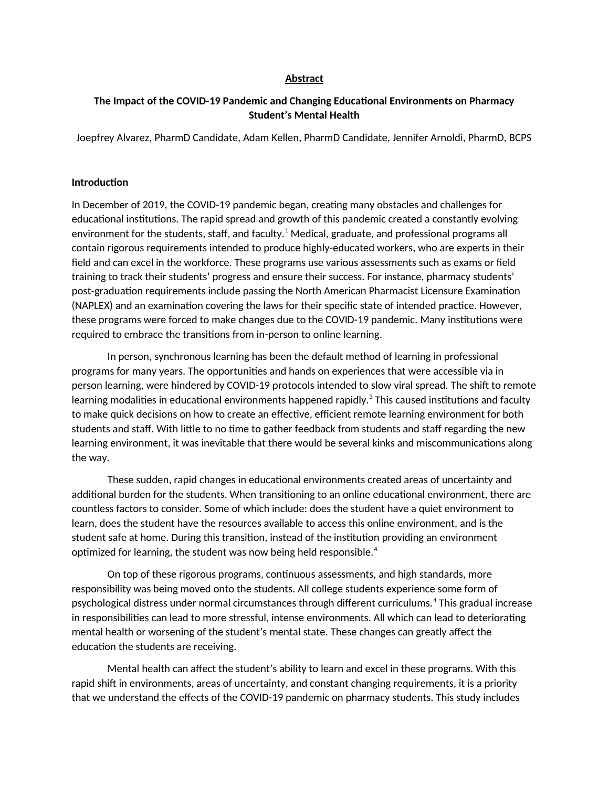### **Abstract**

# **The Impact of the COVID-19 Pandemic and Changing Educational Environments on Pharmacy Student's Mental Health**

Joepfrey Alvarez, PharmD Candidate, Adam Kellen, PharmD Candidate, Jennifer Arnoldi, PharmD, BCPS

#### **Introduction**

In December of 2019, the COVID-19 pandemic began, creating many obstacles and challenges for educational institutions. The rapid spread and growth of this pandemic created a constantly evolving environment for the students, staff, and faculty.<sup>1</sup> Medical, graduate, and professional programs all contain rigorous requirements intended to produce highly-educated workers, who are experts in their field and can excel in the workforce. These programs use various assessments such as exams or field training to track their students' progress and ensure their success. For instance, pharmacy students' post-graduation requirements include passing the North American Pharmacist Licensure Examination (NAPLEX) and an examination covering the laws for their specific state of intended practice. However, these programs were forced to make changes due to the COVID-19 pandemic. Many institutions were required to embrace the transitions from in-person to online learning.

In person, synchronous learning has been the default method of learning in professional programs for many years. The opportunities and hands on experiences that were accessible via in person learning, were hindered by COVID-19 protocols intended to slow viral spread. The shift to remote learning modalities in educational environments happened rapidly. $^{\rm 3}$  This caused institutions and faculty to make quick decisions on how to create an effective, efficient remote learning environment for both students and staff. With little to no time to gather feedback from students and staff regarding the new learning environment, it was inevitable that there would be several kinks and miscommunications along the way.

These sudden, rapid changes in educational environments created areas of uncertainty and additional burden for the students. When transitioning to an online educational environment, there are countless factors to consider. Some of which include: does the student have a quiet environment to learn, does the student have the resources available to access this online environment, and is the student safe at home. During this transition, instead of the institution providing an environment optimized for learning, the student was now being held responsible.<sup>4</sup>

On top of these rigorous programs, continuous assessments, and high standards, more responsibility was being moved onto the students. All college students experience some form of psychological distress under normal circumstances through different curriculums.<sup>4</sup> This gradual increase in responsibilities can lead to more stressful, intense environments. All which can lead to deteriorating mental health or worsening of the student's mental state. These changes can greatly affect the education the students are receiving.

Mental health can affect the student's ability to learn and excel in these programs. With this rapid shift in environments, areas of uncertainty, and constant changing requirements, it is a priority that we understand the effects of the COVID-19 pandemic on pharmacy students. This study includes